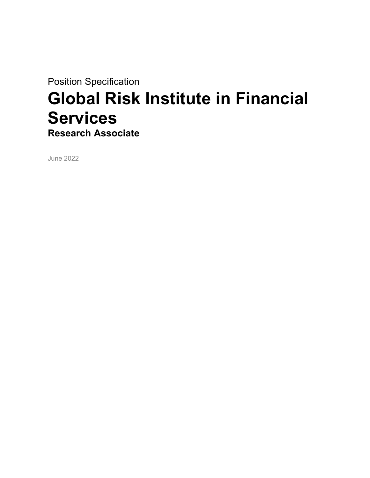Position Specification

# Global Risk Institute in Financial Services Research Associate

June 2022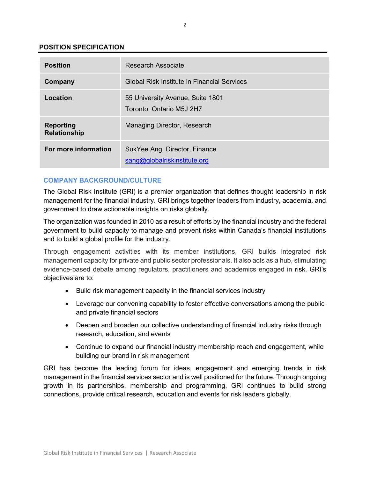# POSITION SPECIFICATION

| <b>Position</b>                         | Research Associate                                            |
|-----------------------------------------|---------------------------------------------------------------|
| Company                                 | Global Risk Institute in Financial Services                   |
| Location                                | 55 University Avenue, Suite 1801<br>Toronto, Ontario M5J 2H7  |
| <b>Reporting</b><br><b>Relationship</b> | Managing Director, Research                                   |
| For more information                    | SukYee Ang, Director, Finance<br>sang@globalriskinstitute.org |

# COMPANY BACKGROUND/CULTURE

The Global Risk Institute (GRI) is a premier organization that defines thought leadership in risk management for the financial industry. GRI brings together leaders from industry, academia, and government to draw actionable insights on risks globally.

The organization was founded in 2010 as a result of efforts by the financial industry and the federal government to build capacity to manage and prevent risks within Canada's financial institutions and to build a global profile for the industry.

Through engagement activities with its member institutions, GRI builds integrated risk management capacity for private and public sector professionals. It also acts as a hub, stimulating evidence-based debate among regulators, practitioners and academics engaged in risk. GRI's objectives are to:

- Build risk management capacity in the financial services industry
- Leverage our convening capability to foster effective conversations among the public and private financial sectors
- Deepen and broaden our collective understanding of financial industry risks through research, education, and events
- Continue to expand our financial industry membership reach and engagement, while building our brand in risk management

GRI has become the leading forum for ideas, engagement and emerging trends in risk management in the financial services sector and is well positioned for the future. Through ongoing growth in its partnerships, membership and programming, GRI continues to build strong connections, provide critical research, education and events for risk leaders globally.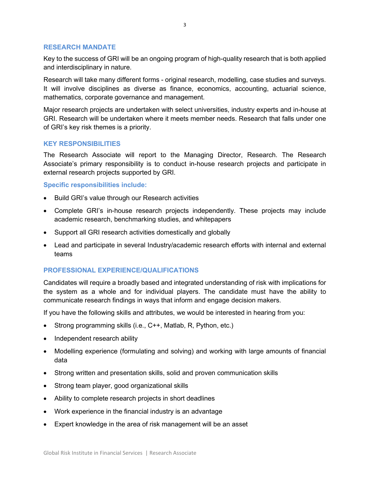#### RESEARCH MANDATE

Key to the success of GRI will be an ongoing program of high-quality research that is both applied and interdisciplinary in nature.

Research will take many different forms - original research, modelling, case studies and surveys. It will involve disciplines as diverse as finance, economics, accounting, actuarial science, mathematics, corporate governance and management.

Major research projects are undertaken with select universities, industry experts and in-house at GRI. Research will be undertaken where it meets member needs. Research that falls under one of GRI's key risk themes is a priority.

#### KEY RESPONSIBILITIES

The Research Associate will report to the Managing Director, Research. The Research Associate's primary responsibility is to conduct in-house research projects and participate in external research projects supported by GRI.

Specific responsibilities include:

- Build GRI's value through our Research activities
- Complete GRI's in-house research projects independently. These projects may include academic research, benchmarking studies, and whitepapers
- Support all GRI research activities domestically and globally
- Lead and participate in several Industry/academic research efforts with internal and external teams

# PROFESSIONAL EXPERIENCE/QUALIFICATIONS

Candidates will require a broadly based and integrated understanding of risk with implications for the system as a whole and for individual players. The candidate must have the ability to communicate research findings in ways that inform and engage decision makers.

If you have the following skills and attributes, we would be interested in hearing from you:

- Strong programming skills (i.e., C++, Matlab, R, Python, etc.)
- Independent research ability
- Modelling experience (formulating and solving) and working with large amounts of financial data
- Strong written and presentation skills, solid and proven communication skills
- Strong team player, good organizational skills
- Ability to complete research projects in short deadlines
- Work experience in the financial industry is an advantage
- Expert knowledge in the area of risk management will be an asset